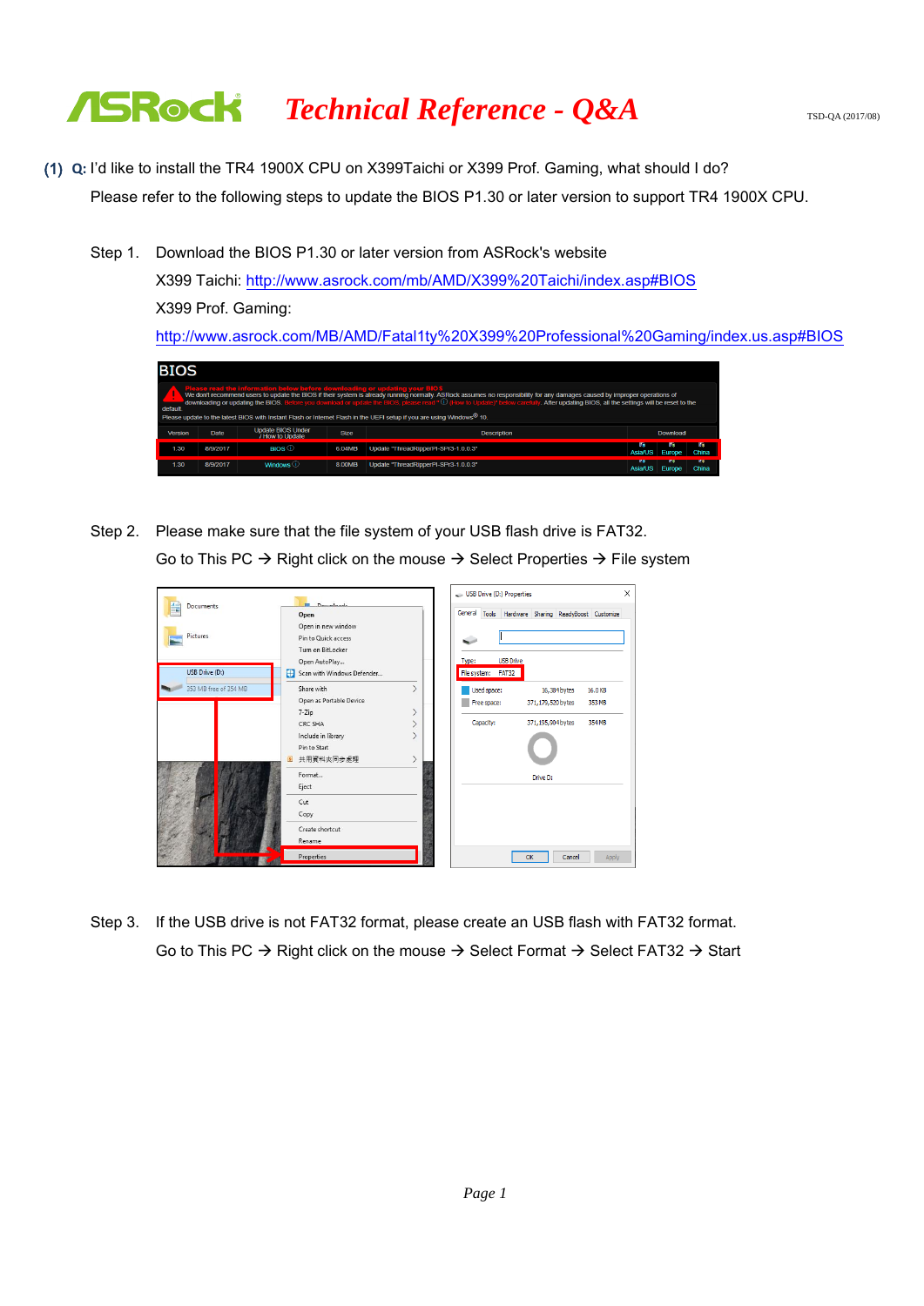- (1) **Q:** I'd like to install the TR4 1900X CPU on X399Taichi or X399 Prof. Gaming, what should I do? Please refer to the following steps to update the BIOS P1.30 or later version to support TR4 1900X CPU.
	- Step 1. Download the BIOS P1.30 or later version from ASRock's website

X399 Taichi:<http://www.asrock.com/mb/AMD/X399%20Taichi/index.asp#BIOS> X399 Prof. Gaming: <http://www.asrock.com/MB/AMD/Fatal1ty%20X399%20Professional%20Gaming/index.us.asp#BIOS>

| <b>BIOS</b> |          |                                                                            |             |                                                                                                                                                                                                                                                                                                                                                                      |                        |          |              |
|-------------|----------|----------------------------------------------------------------------------|-------------|----------------------------------------------------------------------------------------------------------------------------------------------------------------------------------------------------------------------------------------------------------------------------------------------------------------------------------------------------------------------|------------------------|----------|--------------|
| default     |          | Please read the information below before downloading or updating your BIOS |             | We don't recommend users to update the BIOS if their system is already running normally. ASRock assumes no responsibility for any damages caused by improper operations of<br>downloading or updating the BIOS. Before you download or update the BIOS, please read " 1 (How to Update)" below carefully. After updating BIOS, all the settings will be reset to the |                        |          |              |
|             |          |                                                                            |             | Please update to the latest BIOS with Instant Flash or Internet Flash in the UEFI setup if you are using Windows® 10.                                                                                                                                                                                                                                                |                        |          |              |
| Version     | Date     | <b>Update BIOS Under</b><br>/ How to Update                                | <b>Size</b> | <b>Description</b>                                                                                                                                                                                                                                                                                                                                                   |                        | Download |              |
| 1.30        | 8/9/2017 | BIOS i                                                                     | 6.04MB      | Update "ThreadRipperPI-SPr3-1.0.0.3"                                                                                                                                                                                                                                                                                                                                 | 22.0<br><b>Asia/US</b> | Europe   | 5.5<br>China |

Step 2. Please make sure that the file system of your USB flash drive is FAT32. Go to This PC  $\rightarrow$  Right click on the mouse  $\rightarrow$  Select Properties  $\rightarrow$  File system

|                       | <b>Douglands</b>                                                           | USB Drive (D:) Properties                       |                                                     | X       |
|-----------------------|----------------------------------------------------------------------------|-------------------------------------------------|-----------------------------------------------------|---------|
| <b>Documents</b>      | Open                                                                       |                                                 | General Tools Hardware Sharing ReadyBoost Customize |         |
| <b>Pictures</b>       | Open in new window<br>Pin to Quick access<br>Turn on Bitl ocker            |                                                 |                                                     |         |
| USB Drive (D:)        | Open AutoPlay<br>Scan with Windows Defender<br>æ                           | <b>USB Drive</b><br>Type:<br>File system: FAT32 |                                                     |         |
| 353 MB free of 354 MB | Share with                                                                 | Used space:                                     | 16,384 bytes                                        | 16.0 KB |
|                       | Open as Portable Device                                                    | Free space:                                     | 371, 179, 520 bytes                                 | 353 MB  |
|                       | 7-Zip                                                                      |                                                 |                                                     |         |
|                       | CRC SHA<br>Include in library<br>Pin to Start<br>共用資料夾同步處理<br>$\mathbf{s}$ | Capacity:                                       | 371, 195, 904 bytes                                 | 354 MB  |
|                       | Format<br>Eject                                                            |                                                 | Drive D:                                            |         |
|                       | Cut<br>Copy                                                                |                                                 |                                                     |         |
|                       | Create shortcut<br>Rename                                                  |                                                 |                                                     |         |
|                       | Properties                                                                 |                                                 | Cancel<br>OK                                        | Apply   |

Step 3. If the USB drive is not FAT32 format, please create an USB flash with FAT32 format. Go to This PC  $\rightarrow$  Right click on the mouse  $\rightarrow$  Select Format  $\rightarrow$  Select FAT32  $\rightarrow$  Start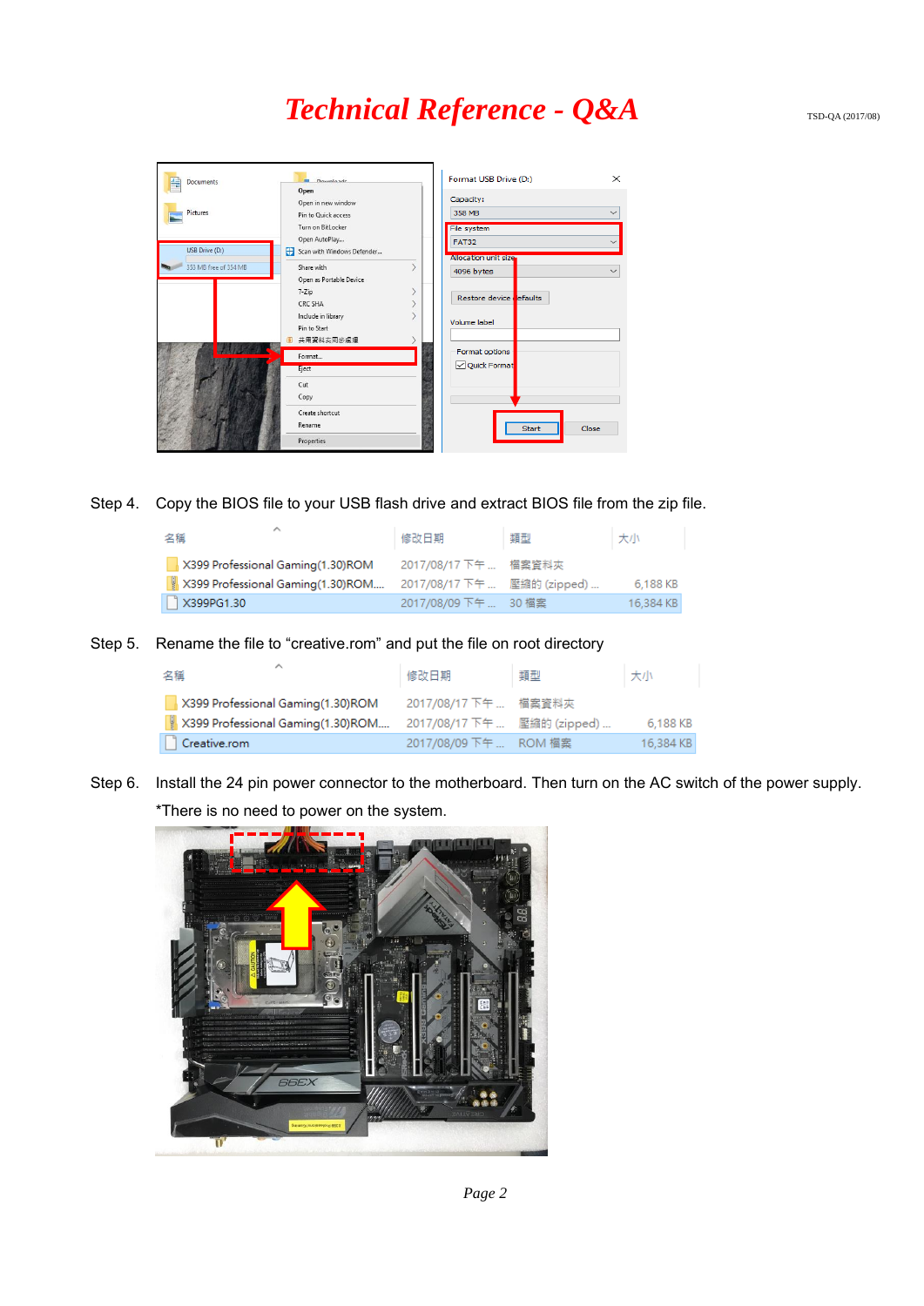

Step 4. Copy the BIOS file to your USB flash drive and extract BIOS file from the zip file.

| 名稱                                | 修改日期                        | 類型 | 大小        |
|-----------------------------------|-----------------------------|----|-----------|
| X399 Professional Gaming(1.30)ROM | 2017/08/17 下午  檔案資料夾        |    |           |
| X399 Professional Gaming(1.30)ROM | 2017/08/17 下午  壓縮的 (zipped) |    | 6.188 KB  |
| X399PG1.30                        | 2017/08/09 下午  30 檔案        |    | 16.384 KB |

Step 5. Rename the file to "creative.rom" and put the file on root directory

| 名稱                                | 修改日期                        | 類型 | 大小        |
|-----------------------------------|-----------------------------|----|-----------|
| X399 Professional Gaming(1.30)ROM | 2017/08/17 下午  檔案資料夾        |    |           |
| X399 Professional Gaming(1.30)ROM | 2017/08/17 下午  壓縮的 (zipped) |    | 6,188 KB  |
| Creative.rom                      | 2017/08/09 下午  ROM 檔案       |    | 16.384 KB |

Step 6. Install the 24 pin power connector to the motherboard. Then turn on the AC switch of the power supply. \*There is no need to power on the system.



*Page 2*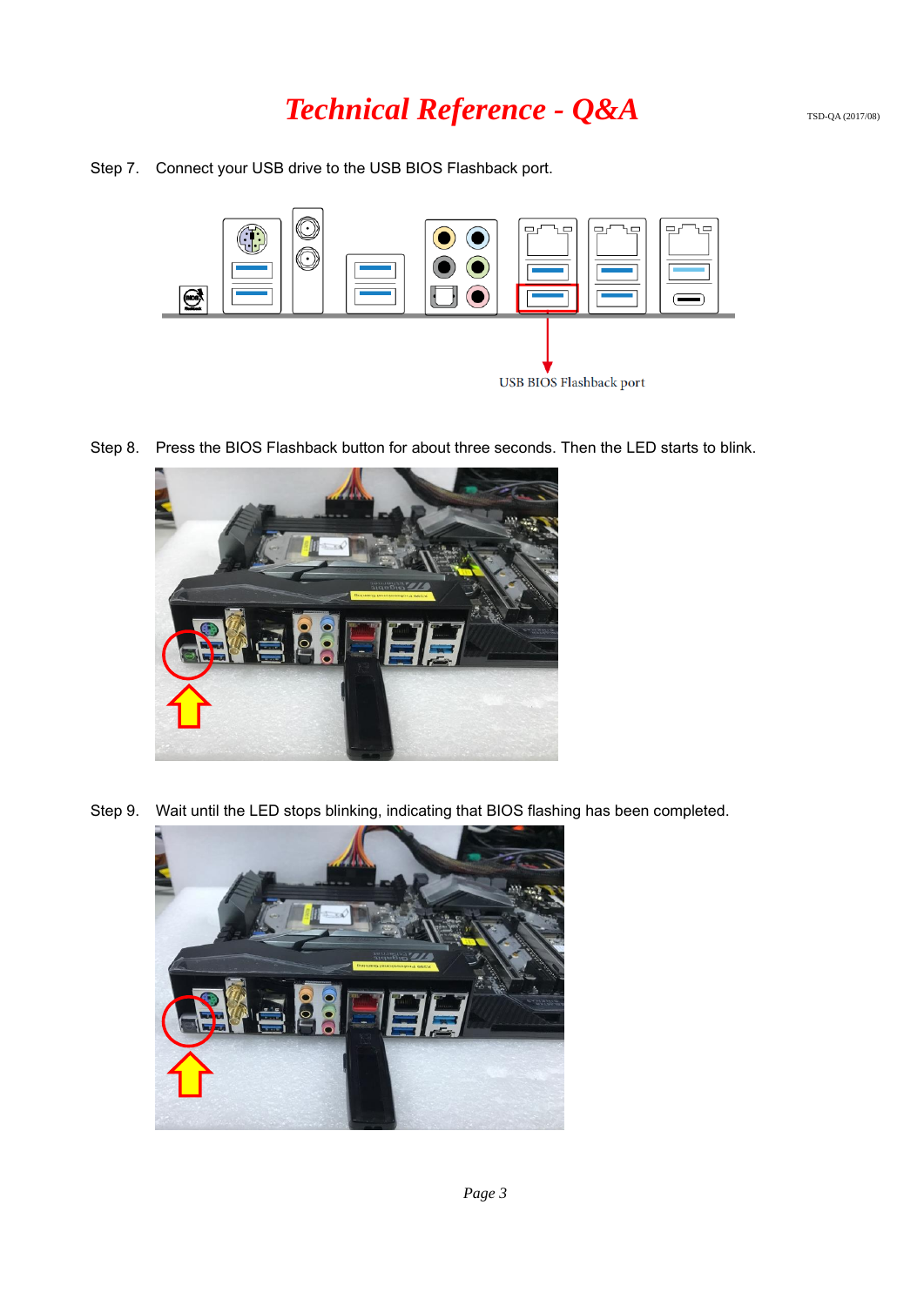Step 7. Connect your USB drive to the USB BIOS Flashback port.



Step 8. Press the BIOS Flashback button for about three seconds. Then the LED starts to blink.



Step 9. Wait until the LED stops blinking, indicating that BIOS flashing has been completed.